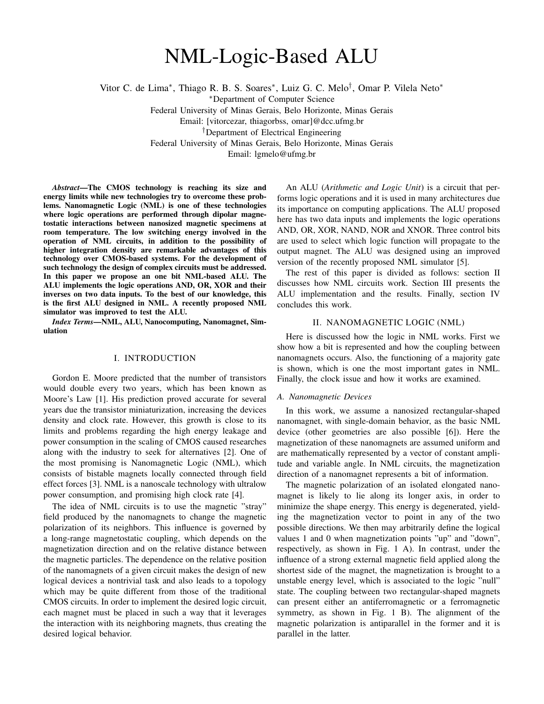# NML-Logic-Based ALU

Vitor C. de Lima<sup>\*</sup>, Thiago R. B. S. Soares<sup>\*</sup>, Luiz G. C. Melo<sup>†</sup>, Omar P. Vilela Neto<sup>\*</sup>

<sup>∗</sup>Department of Computer Science

Federal University of Minas Gerais, Belo Horizonte, Minas Gerais

Email: [vitorcezar, thiagorbss, omar]@dcc.ufmg.br

†Department of Electrical Engineering

Federal University of Minas Gerais, Belo Horizonte, Minas Gerais

Email: lgmelo@ufmg.br

*Abstract*—The CMOS technology is reaching its size and energy limits while new technologies try to overcome these problems. Nanomagnetic Logic (NML) is one of these technologies where logic operations are performed through dipolar magnetostatic interactions between nanosized magnetic specimens at room temperature. The low switching energy involved in the operation of NML circuits, in addition to the possibility of higher integration density are remarkable advantages of this technology over CMOS-based systems. For the development of such technology the design of complex circuits must be addressed. In this paper we propose an one bit NML-based ALU. The ALU implements the logic operations AND, OR, XOR and their inverses on two data inputs. To the best of our knowledge, this is the first ALU designed in NML. A recently proposed NML simulator was improved to test the ALU.

*Index Terms*—NML, ALU, Nanocomputing, Nanomagnet, Simulation

## I. INTRODUCTION

Gordon E. Moore predicted that the number of transistors would double every two years, which has been known as Moore's Law [1]. His prediction proved accurate for several years due the transistor miniaturization, increasing the devices density and clock rate. However, this growth is close to its limits and problems regarding the high energy leakage and power consumption in the scaling of CMOS caused researches along with the industry to seek for alternatives [2]. One of the most promising is Nanomagnetic Logic (NML), which consists of bistable magnets locally connected through field effect forces [3]. NML is a nanoscale technology with ultralow power consumption, and promising high clock rate [4].

The idea of NML circuits is to use the magnetic "stray" field produced by the nanomagnets to change the magnetic polarization of its neighbors. This influence is governed by a long-range magnetostatic coupling, which depends on the magnetization direction and on the relative distance between the magnetic particles. The dependence on the relative position of the nanomagnets of a given circuit makes the design of new logical devices a nontrivial task and also leads to a topology which may be quite different from those of the traditional CMOS circuits. In order to implement the desired logic circuit, each magnet must be placed in such a way that it leverages the interaction with its neighboring magnets, thus creating the desired logical behavior.

An ALU (*Arithmetic and Logic Unit*) is a circuit that performs logic operations and it is used in many architectures due its importance on computing applications. The ALU proposed here has two data inputs and implements the logic operations AND, OR, XOR, NAND, NOR and XNOR. Three control bits are used to select which logic function will propagate to the output magnet. The ALU was designed using an improved version of the recently proposed NML simulator [5].

The rest of this paper is divided as follows: section II discusses how NML circuits work. Section III presents the ALU implementation and the results. Finally, section IV concludes this work.

# II. NANOMAGNETIC LOGIC (NML)

Here is discussed how the logic in NML works. First we show how a bit is represented and how the coupling between nanomagnets occurs. Also, the functioning of a majority gate is shown, which is one the most important gates in NML. Finally, the clock issue and how it works are examined.

#### *A. Nanomagnetic Devices*

In this work, we assume a nanosized rectangular-shaped nanomagnet, with single-domain behavior, as the basic NML device (other geometries are also possible [6]). Here the magnetization of these nanomagnets are assumed uniform and are mathematically represented by a vector of constant amplitude and variable angle. In NML circuits, the magnetization direction of a nanomagnet represents a bit of information.

The magnetic polarization of an isolated elongated nanomagnet is likely to lie along its longer axis, in order to minimize the shape energy. This energy is degenerated, yielding the magnetization vector to point in any of the two possible directions. We then may arbitrarily define the logical values 1 and 0 when magnetization points "up" and "down", respectively, as shown in Fig. 1 A). In contrast, under the influence of a strong external magnetic field applied along the shortest side of the magnet, the magnetization is brought to a unstable energy level, which is associated to the logic "null" state. The coupling between two rectangular-shaped magnets can present either an antiferromagnetic or a ferromagnetic symmetry, as shown in Fig. 1 B). The alignment of the magnetic polarization is antiparallel in the former and it is parallel in the latter.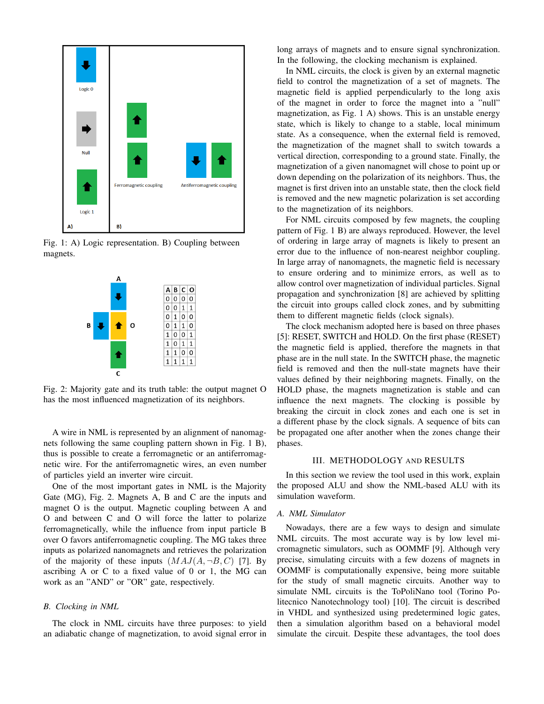

Fig. 1: A) Logic representation. B) Coupling between magnets.



Fig. 2: Majority gate and its truth table: the output magnet O has the most influenced magnetization of its neighbors.

A wire in NML is represented by an alignment of nanomagnets following the same coupling pattern shown in Fig. 1 B), thus is possible to create a ferromagnetic or an antiferromagnetic wire. For the antiferromagnetic wires, an even number of particles yield an inverter wire circuit.

One of the most important gates in NML is the Majority Gate (MG), Fig. 2. Magnets A, B and C are the inputs and magnet O is the output. Magnetic coupling between A and O and between C and O will force the latter to polarize ferromagnetically, while the influence from input particle B over O favors antiferromagnetic coupling. The MG takes three inputs as polarized nanomagnets and retrieves the polarization of the majority of these inputs  $(MAJ(A, \neg B, C)$  [7]. By ascribing A or C to a fixed value of 0 or 1, the MG can work as an "AND" or "OR" gate, respectively.

# *B. Clocking in NML*

The clock in NML circuits have three purposes: to yield an adiabatic change of magnetization, to avoid signal error in long arrays of magnets and to ensure signal synchronization. In the following, the clocking mechanism is explained.

In NML circuits, the clock is given by an external magnetic field to control the magnetization of a set of magnets. The magnetic field is applied perpendicularly to the long axis of the magnet in order to force the magnet into a "null" magnetization, as Fig. 1 A) shows. This is an unstable energy state, which is likely to change to a stable, local minimum state. As a consequence, when the external field is removed, the magnetization of the magnet shall to switch towards a vertical direction, corresponding to a ground state. Finally, the magnetization of a given nanomagnet will chose to point up or down depending on the polarization of its neighbors. Thus, the magnet is first driven into an unstable state, then the clock field is removed and the new magnetic polarization is set according to the magnetization of its neighbors.

For NML circuits composed by few magnets, the coupling pattern of Fig. 1 B) are always reproduced. However, the level of ordering in large array of magnets is likely to present an error due to the influence of non-nearest neighbor coupling. In large array of nanomagnets, the magnetic field is necessary to ensure ordering and to minimize errors, as well as to allow control over magnetization of individual particles. Signal propagation and synchronization [8] are achieved by splitting the circuit into groups called clock zones, and by submitting them to different magnetic fields (clock signals).

The clock mechanism adopted here is based on three phases [5]: RESET, SWITCH and HOLD. On the first phase (RESET) the magnetic field is applied, therefore the magnets in that phase are in the null state. In the SWITCH phase, the magnetic field is removed and then the null-state magnets have their values defined by their neighboring magnets. Finally, on the HOLD phase, the magnets magnetization is stable and can influence the next magnets. The clocking is possible by breaking the circuit in clock zones and each one is set in a different phase by the clock signals. A sequence of bits can be propagated one after another when the zones change their phases.

# III. METHODOLOGY AND RESULTS

In this section we review the tool used in this work, explain the proposed ALU and show the NML-based ALU with its simulation waveform.

## *A. NML Simulator*

Nowadays, there are a few ways to design and simulate NML circuits. The most accurate way is by low level micromagnetic simulators, such as OOMMF [9]. Although very precise, simulating circuits with a few dozens of magnets in OOMMF is computationally expensive, being more suitable for the study of small magnetic circuits. Another way to simulate NML circuits is the ToPoliNano tool (Torino Politecnico Nanotechnology tool) [10]. The circuit is described in VHDL and synthesized using predetermined logic gates, then a simulation algorithm based on a behavioral model simulate the circuit. Despite these advantages, the tool does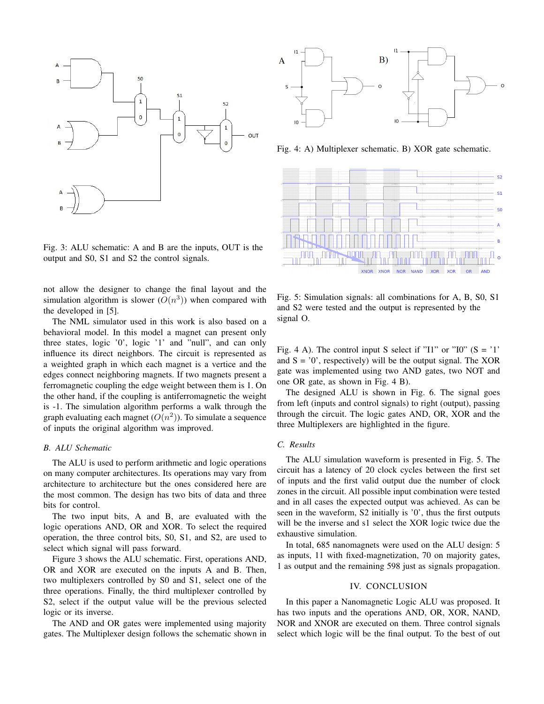

Fig. 3: ALU schematic: A and B are the inputs, OUT is the output and S0, S1 and S2 the control signals.

not allow the designer to change the final layout and the simulation algorithm is slower  $(O(n^3))$  when compared with the developed in [5].

The NML simulator used in this work is also based on a behavioral model. In this model a magnet can present only three states, logic '0', logic '1' and "null", and can only influence its direct neighbors. The circuit is represented as a weighted graph in which each magnet is a vertice and the edges connect neighboring magnets. If two magnets present a ferromagnetic coupling the edge weight between them is 1. On the other hand, if the coupling is antiferromagnetic the weight is -1. The simulation algorithm performs a walk through the graph evaluating each magnet  $(O(n^2))$ . To simulate a sequence of inputs the original algorithm was improved.

#### *B. ALU Schematic*

The ALU is used to perform arithmetic and logic operations on many computer architectures. Its operations may vary from architecture to architecture but the ones considered here are the most common. The design has two bits of data and three bits for control.

The two input bits, A and B, are evaluated with the logic operations AND, OR and XOR. To select the required operation, the three control bits, S0, S1, and S2, are used to select which signal will pass forward.

Figure 3 shows the ALU schematic. First, operations AND, OR and XOR are executed on the inputs A and B. Then, two multiplexers controlled by S0 and S1, select one of the three operations. Finally, the third multiplexer controlled by S2, select if the output value will be the previous selected logic or its inverse.

The AND and OR gates were implemented using majority gates. The Multiplexer design follows the schematic shown in



Fig. 4: A) Multiplexer schematic. B) XOR gate schematic.



Fig. 5: Simulation signals: all combinations for A, B, S0, S1 and S2 were tested and the output is represented by the signal O.

Fig. 4 A). The control input S select if "I1" or "I0"  $(S = '1'')$ and  $S = '0'$ , respectively) will be the output signal. The XOR gate was implemented using two AND gates, two NOT and one OR gate, as shown in Fig. 4 B).

The designed ALU is shown in Fig. 6. The signal goes from left (inputs and control signals) to right (output), passing through the circuit. The logic gates AND, OR, XOR and the three Multiplexers are highlighted in the figure.

# *C. Results*

The ALU simulation waveform is presented in Fig. 5. The circuit has a latency of 20 clock cycles between the first set of inputs and the first valid output due the number of clock zones in the circuit. All possible input combination were tested and in all cases the expected output was achieved. As can be seen in the waveform, S2 initially is '0', thus the first outputs will be the inverse and s1 select the XOR logic twice due the exhaustive simulation.

In total, 685 nanomagnets were used on the ALU design: 5 as inputs, 11 with fixed-magnetization, 70 on majority gates, 1 as output and the remaining 598 just as signals propagation.

### IV. CONCLUSION

In this paper a Nanomagnetic Logic ALU was proposed. It has two inputs and the operations AND, OR, XOR, NAND, NOR and XNOR are executed on them. Three control signals select which logic will be the final output. To the best of out